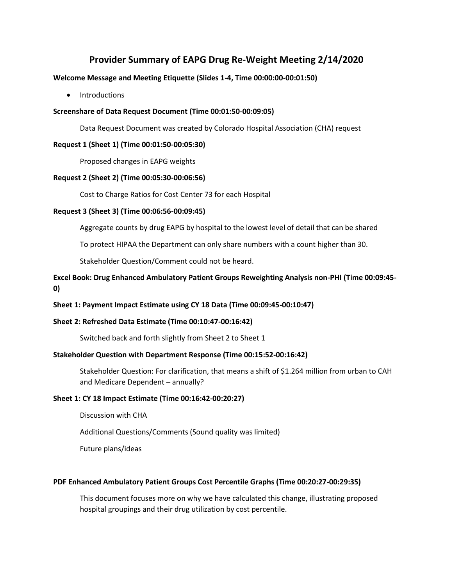# **Provider Summary of EAPG Drug Re-Weight Meeting 2/14/2020**

### **Welcome Message and Meeting Etiquette (Slides 1-4, Time 00:00:00-00:01:50)**

• Introductions

## **Screenshare of Data Request Document (Time 00:01:50-00:09:05)**

Data Request Document was created by Colorado Hospital Association (CHA) request

### **Request 1 (Sheet 1) (Time 00:01:50-00:05:30)**

Proposed changes in EAPG weights

## **Request 2 (Sheet 2) (Time 00:05:30-00:06:56)**

Cost to Charge Ratios for Cost Center 73 for each Hospital

#### **Request 3 (Sheet 3) (Time 00:06:56-00:09:45)**

Aggregate counts by drug EAPG by hospital to the lowest level of detail that can be shared

To protect HIPAA the Department can only share numbers with a count higher than 30.

Stakeholder Question/Comment could not be heard.

## **Excel Book: Drug Enhanced Ambulatory Patient Groups Reweighting Analysis non-PHI (Time 00:09:45- 0)**

## **Sheet 1: Payment Impact Estimate using CY 18 Data (Time 00:09:45-00:10:47)**

## **Sheet 2: Refreshed Data Estimate (Time 00:10:47-00:16:42)**

Switched back and forth slightly from Sheet 2 to Sheet 1

#### **Stakeholder Question with Department Response (Time 00:15:52-00:16:42)**

Stakeholder Question: For clarification, that means a shift of \$1.264 million from urban to CAH and Medicare Dependent – annually?

## **Sheet 1: CY 18 Impact Estimate (Time 00:16:42-00:20:27)**

Discussion with CHA

Additional Questions/Comments (Sound quality was limited)

Future plans/ideas

## **PDF Enhanced Ambulatory Patient Groups Cost Percentile Graphs (Time 00:20:27-00:29:35)**

This document focuses more on why we have calculated this change, illustrating proposed hospital groupings and their drug utilization by cost percentile.